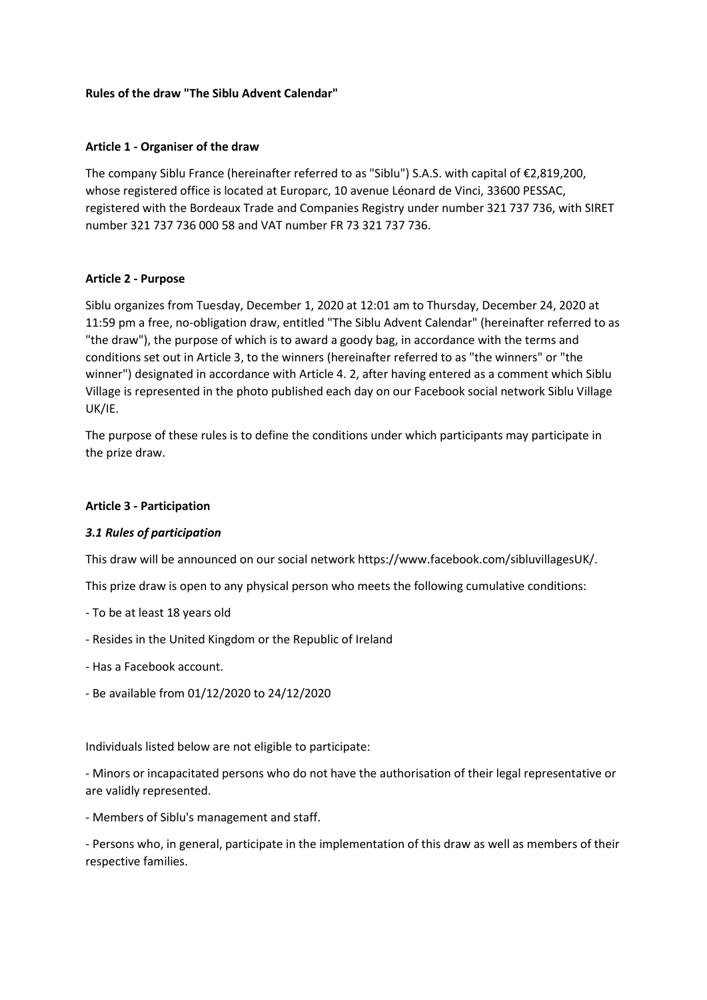#### **Rules of the draw "The Siblu Advent Calendar"**

#### **Article 1 - Organiser of the draw**

The company Siblu France (hereinafter referred to as "Siblu") S.A.S. with capital of €2,819,200, whose registered office is located at Europarc, 10 avenue Léonard de Vinci, 33600 PESSAC, registered with the Bordeaux Trade and Companies Registry under number 321 737 736, with SIRET number 321 737 736 000 58 and VAT number FR 73 321 737 736.

#### **Article 2 - Purpose**

Siblu organizes from Tuesday, December 1, 2020 at 12:01 am to Thursday, December 24, 2020 at 11:59 pm a free, no-obligation draw, entitled "The Siblu Advent Calendar" (hereinafter referred to as "the draw"), the purpose of which is to award a goody bag, in accordance with the terms and conditions set out in Article 3, to the winners (hereinafter referred to as "the winners" or "the winner") designated in accordance with Article 4. 2, after having entered as a comment which Siblu Village is represented in the photo published each day on our Facebook social network Siblu Village UK/IE.

The purpose of these rules is to define the conditions under which participants may participate in the prize draw.

#### **Article 3 - Participation**

### *3.1 Rules of participation*

This draw will be announced on our social network https://www.facebook.com/sibluvillagesUK/.

This prize draw is open to any physical person who meets the following cumulative conditions:

- To be at least 18 years old
- Resides in the United Kingdom or the Republic of Ireland
- Has a Facebook account.
- Be available from 01/12/2020 to 24/12/2020

Individuals listed below are not eligible to participate:

- Minors or incapacitated persons who do not have the authorisation of their legal representative or are validly represented.

- Members of Siblu's management and staff.

- Persons who, in general, participate in the implementation of this draw as well as members of their respective families.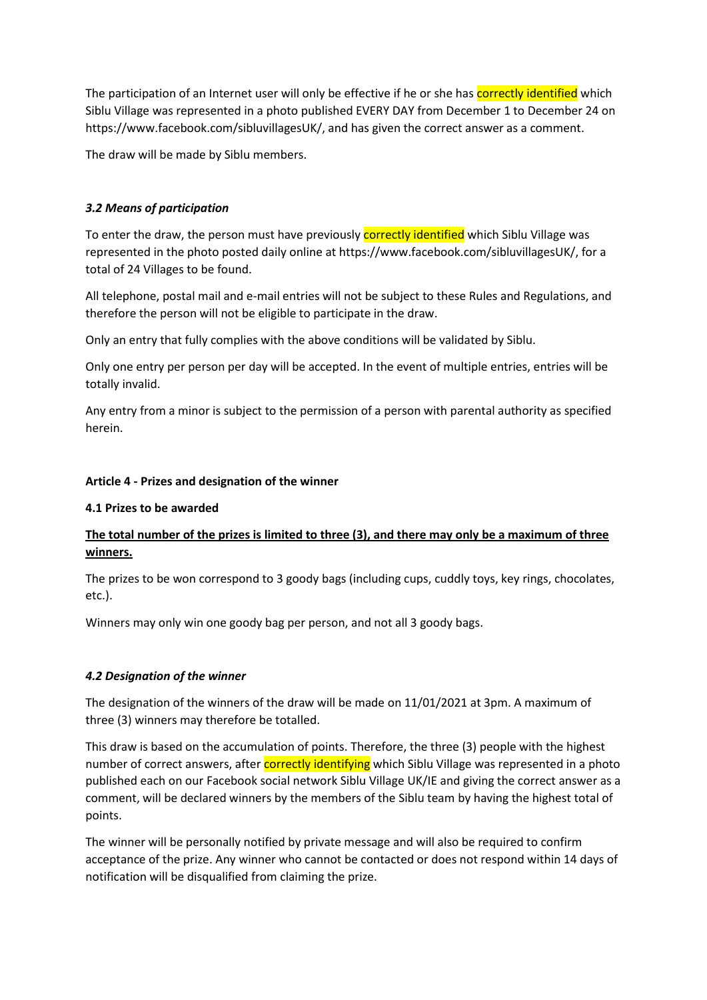The participation of an Internet user will only be effective if he or she has correctly identified which Siblu Village was represented in a photo published EVERY DAY from December 1 to December 24 on https://www.facebook.com/sibluvillagesUK/, and has given the correct answer as a comment.

The draw will be made by Siblu members.

# *3.2 Means of participation*

To enter the draw, the person must have previously correctly identified which Siblu Village was represented in the photo posted daily online at https://www.facebook.com/sibluvillagesUK/, for a total of 24 Villages to be found.

All telephone, postal mail and e-mail entries will not be subject to these Rules and Regulations, and therefore the person will not be eligible to participate in the draw.

Only an entry that fully complies with the above conditions will be validated by Siblu.

Only one entry per person per day will be accepted. In the event of multiple entries, entries will be totally invalid.

Any entry from a minor is subject to the permission of a person with parental authority as specified herein.

## **Article 4 - Prizes and designation of the winner**

### **4.1 Prizes to be awarded**

# **The total number of the prizes is limited to three (3), and there may only be a maximum of three winners.**

The prizes to be won correspond to 3 goody bags (including cups, cuddly toys, key rings, chocolates, etc.).

Winners may only win one goody bag per person, and not all 3 goody bags.

# *4.2 Designation of the winner*

The designation of the winners of the draw will be made on 11/01/2021 at 3pm. A maximum of three (3) winners may therefore be totalled.

This draw is based on the accumulation of points. Therefore, the three (3) people with the highest number of correct answers, after **correctly identifying** which Siblu Village was represented in a photo published each on our Facebook social network Siblu Village UK/IE and giving the correct answer as a comment, will be declared winners by the members of the Siblu team by having the highest total of points.

The winner will be personally notified by private message and will also be required to confirm acceptance of the prize. Any winner who cannot be contacted or does not respond within 14 days of notification will be disqualified from claiming the prize.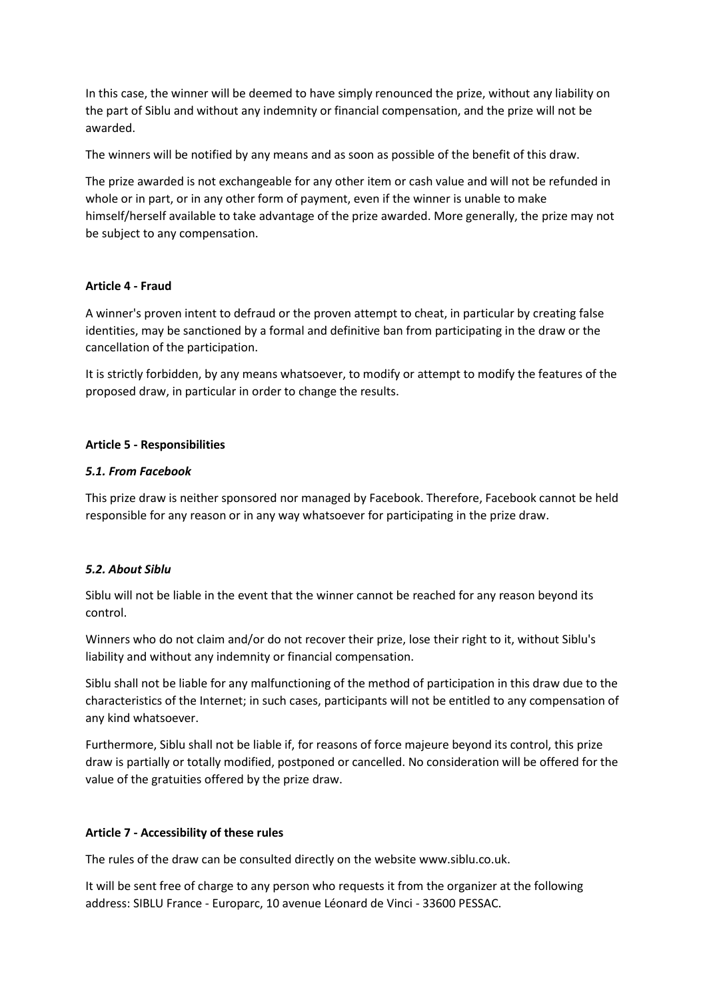In this case, the winner will be deemed to have simply renounced the prize, without any liability on the part of Siblu and without any indemnity or financial compensation, and the prize will not be awarded.

The winners will be notified by any means and as soon as possible of the benefit of this draw.

The prize awarded is not exchangeable for any other item or cash value and will not be refunded in whole or in part, or in any other form of payment, even if the winner is unable to make himself/herself available to take advantage of the prize awarded. More generally, the prize may not be subject to any compensation.

## **Article 4 - Fraud**

A winner's proven intent to defraud or the proven attempt to cheat, in particular by creating false identities, may be sanctioned by a formal and definitive ban from participating in the draw or the cancellation of the participation.

It is strictly forbidden, by any means whatsoever, to modify or attempt to modify the features of the proposed draw, in particular in order to change the results.

## **Article 5 - Responsibilities**

## *5.1. From Facebook*

This prize draw is neither sponsored nor managed by Facebook. Therefore, Facebook cannot be held responsible for any reason or in any way whatsoever for participating in the prize draw.

# *5.2. About Siblu*

Siblu will not be liable in the event that the winner cannot be reached for any reason beyond its control.

Winners who do not claim and/or do not recover their prize, lose their right to it, without Siblu's liability and without any indemnity or financial compensation.

Siblu shall not be liable for any malfunctioning of the method of participation in this draw due to the characteristics of the Internet; in such cases, participants will not be entitled to any compensation of any kind whatsoever.

Furthermore, Siblu shall not be liable if, for reasons of force majeure beyond its control, this prize draw is partially or totally modified, postponed or cancelled. No consideration will be offered for the value of the gratuities offered by the prize draw.

### **Article 7 - Accessibility of these rules**

The rules of the draw can be consulted directly on the website www.siblu.co.uk.

It will be sent free of charge to any person who requests it from the organizer at the following address: SIBLU France - Europarc, 10 avenue Léonard de Vinci - 33600 PESSAC.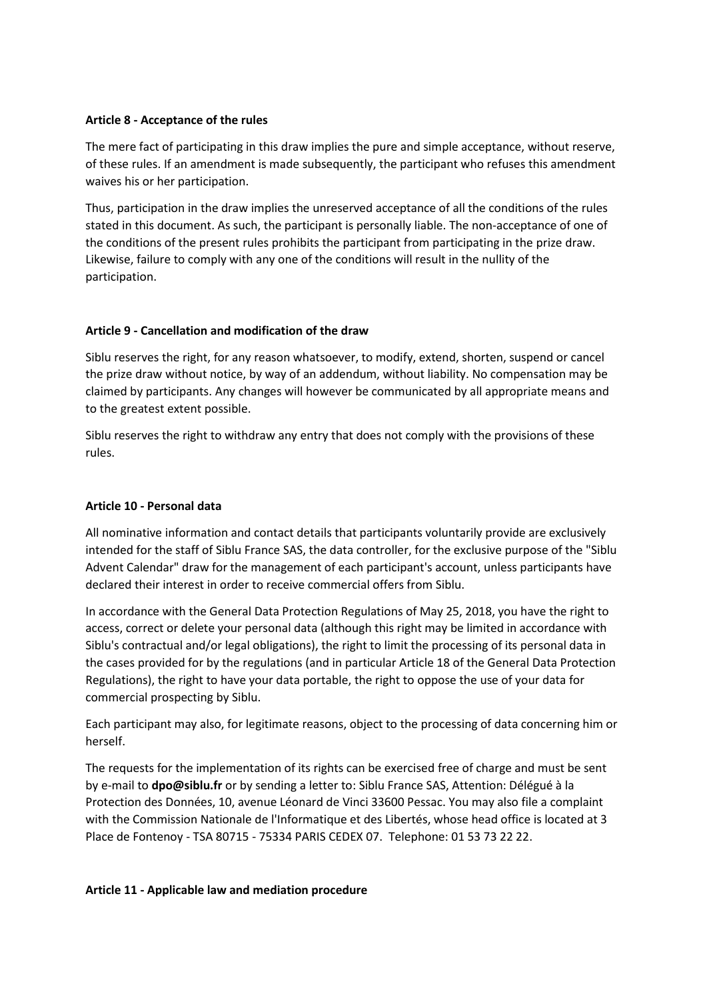## **Article 8 - Acceptance of the rules**

The mere fact of participating in this draw implies the pure and simple acceptance, without reserve, of these rules. If an amendment is made subsequently, the participant who refuses this amendment waives his or her participation.

Thus, participation in the draw implies the unreserved acceptance of all the conditions of the rules stated in this document. As such, the participant is personally liable. The non-acceptance of one of the conditions of the present rules prohibits the participant from participating in the prize draw. Likewise, failure to comply with any one of the conditions will result in the nullity of the participation.

## **Article 9 - Cancellation and modification of the draw**

Siblu reserves the right, for any reason whatsoever, to modify, extend, shorten, suspend or cancel the prize draw without notice, by way of an addendum, without liability. No compensation may be claimed by participants. Any changes will however be communicated by all appropriate means and to the greatest extent possible.

Siblu reserves the right to withdraw any entry that does not comply with the provisions of these rules.

## **Article 10 - Personal data**

All nominative information and contact details that participants voluntarily provide are exclusively intended for the staff of Siblu France SAS, the data controller, for the exclusive purpose of the "Siblu Advent Calendar" draw for the management of each participant's account, unless participants have declared their interest in order to receive commercial offers from Siblu.

In accordance with the General Data Protection Regulations of May 25, 2018, you have the right to access, correct or delete your personal data (although this right may be limited in accordance with Siblu's contractual and/or legal obligations), the right to limit the processing of its personal data in the cases provided for by the regulations (and in particular Article 18 of the General Data Protection Regulations), the right to have your data portable, the right to oppose the use of your data for commercial prospecting by Siblu.

Each participant may also, for legitimate reasons, object to the processing of data concerning him or herself.

The requests for the implementation of its rights can be exercised free of charge and must be sent by e-mail to **dpo@siblu.fr** or by sending a letter to: Siblu France SAS, Attention: Délégué à la Protection des Données, 10, avenue Léonard de Vinci 33600 Pessac. You may also file a complaint with the Commission Nationale de l'Informatique et des Libertés, whose head office is located at 3 Place de Fontenoy - TSA 80715 - 75334 PARIS CEDEX 07. Telephone: 01 53 73 22 22.

### **Article 11 - Applicable law and mediation procedure**